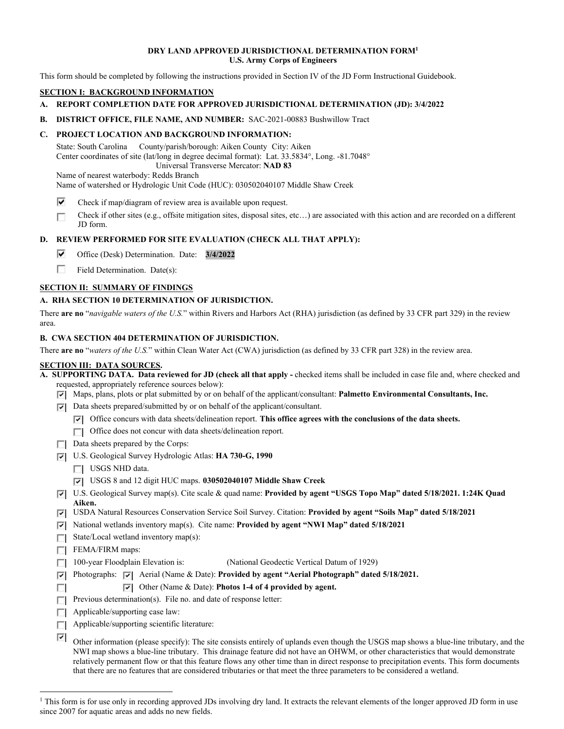#### **DRY LAND APPROVED JURISDICTIONAL DETERMINATION FORM1 U.S. Army Corps of Engineers**

This form should be completed by following the instructions provided in Section IV of the JD Form Instructional Guidebook.

## **SECTION I: BACKGROUND INFORMATION**

- **A. REPORT COMPLETION DATE FOR APPROVED JURISDICTIONAL DETERMINATION (JD): 3/4/2022**
- **B. DISTRICT OFFICE, FILE NAME, AND NUMBER:** SAC-2021-00883 Bushwillow Tract

## **C. PROJECT LOCATION AND BACKGROUND INFORMATION:**

State: South Carolina County/parish/borough: Aiken County City: Aiken Center coordinates of site (lat/long in degree decimal format): Lat. 33.5834°, Long. -81.7048° Universal Transverse Mercator: **NAD 83** 

Name of nearest waterbody: Redds Branch Name of watershed or Hydrologic Unit Code (HUC): 030502040107 Middle Shaw Creek

- **p**  Check if map/diagram of review area is available upon request.
- Check if other sites (e.g., offsite mitigation sites, disposal sites, etc…) are associated with this action and are recorded on a different r JD form.

## **D. REVIEW PERFORMED FOR SITE EVALUATION (CHECK ALL THAT APPLY):**

- **p**  Office (Desk) Determination. Date: **3/4/2022**
- **r**  Field Determination. Date(s):

## **SECTION II: SUMMARY OF FINDINGS**

## **A. RHA SECTION 10 DETERMINATION OF JURISDICTION.**

There **are no** "*navigable waters of the U.S.*" within Rivers and Harbors Act (RHA) jurisdiction (as defined by 33 CFR part 329) in the review area.

#### **B. CWA SECTION 404 DETERMINATION OF JURISDICTION.**

There **are no** "*waters of the U.S.*" within Clean Water Act (CWA) jurisdiction (as defined by 33 CFR part 328) in the review area.

## **SECTION III: DATA SOURCES.**

- **A. SUPPORTING DATA. Data reviewed for JD (check all that apply** checked items shall be included in case file and, where checked and requested, appropriately reference sources below):
	- **Fl**  Maps, plans, plots or plat submitted by or on behalf of the applicant/consultant: **Palmetto Environmental Consultants, Inc.**
	- **Fl**  Data sheets prepared/submitted by or on behalf of the applicant/consultant.
		- **Fl**  Office concurs with data sheets/delineation report. **This office agrees with the conclusions of the data sheets.**
		- □ Office does not concur with data sheets/delineation report.
	- $\Box$  Data sheets prepared by the Corps:
	- **Fl**  U.S. Geological Survey Hydrologic Atlas: **HA 730-G, 1990** 
		- USGS NHD data.
		- **Fl**  USGS 8 and 12 digit HUC maps. **030502040107 Middle Shaw Creek**
	- **Fl**  U.S. Geological Survey map(s). Cite scale & quad name: **Provided by agent "USGS Topo Map" dated 5/18/2021. 1:24K Quad Aiken.**
	- **Fl**  USDA Natural Resources Conservation Service Soil Survey. Citation: **Provided by agent "Soils Map" dated 5/18/2021**
	- **Fl**  National wetlands inventory map(s). Cite name: **Provided by agent "NWI Map" dated 5/18/2021**
	- State/Local wetland inventory map(s):

FEMA/FIRM maps:

n

- $\Box$  100-year Floodplain Elevation is: (National Geodectic Vertical Datum of 1929)
- **F** Photographs:  $\boxed{\bullet}$  Aerial (Name & Date): **Provided by agent "Aerial Photograph" dated 5/18/2021.**

# **Fl**  Other (Name & Date): **Photos 1-4 of 4 provided by agent.**

- **Previous determination(s).** File no. and date of response letter:
- $\Box$  Applicable/supporting case law:
- $\Box$  Applicable/supporting scientific literature:

**Fl**  Other information (please specify): The site consists entirely of uplands even though the USGS map shows a blue-line tributary, and the NWI map shows a blue-line tributary. This drainage feature did not have an OHWM, or other characteristics that would demonstrate relatively permanent flow or that this feature flows any other time than in direct response to precipitation events. This form documents that there are no features that are considered tributaries or that meet the three parameters to be considered a wetland.

<sup>&</sup>lt;sup>1</sup> This form is for use only in recording approved JDs involving dry land. It extracts the relevant elements of the longer approved JD form in use since 2007 for aquatic areas and adds no new fields.